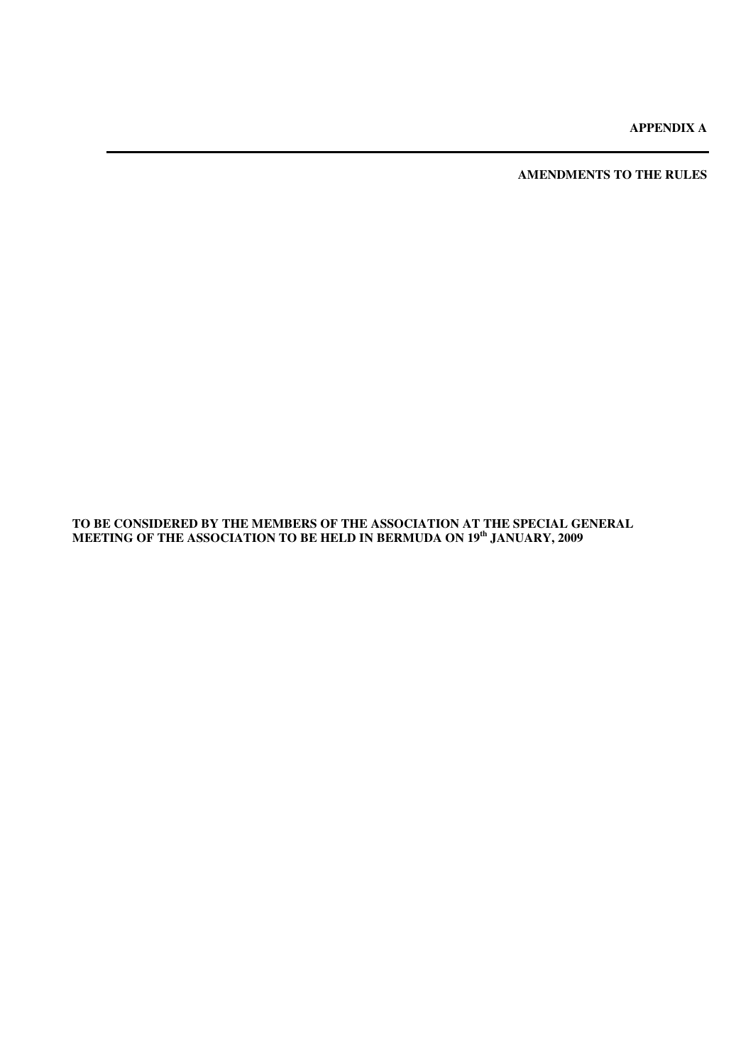**APPENDIX A** 

**AMENDMENTS TO THE RULES** 

**TO BE CONSIDERED BY THE MEMBERS OF THE ASSOCIATION AT THE SPECIAL GENERAL MEETING OF THE ASSOCIATION TO BE HELD IN BERMUDA ON 19th JANUARY, 2009**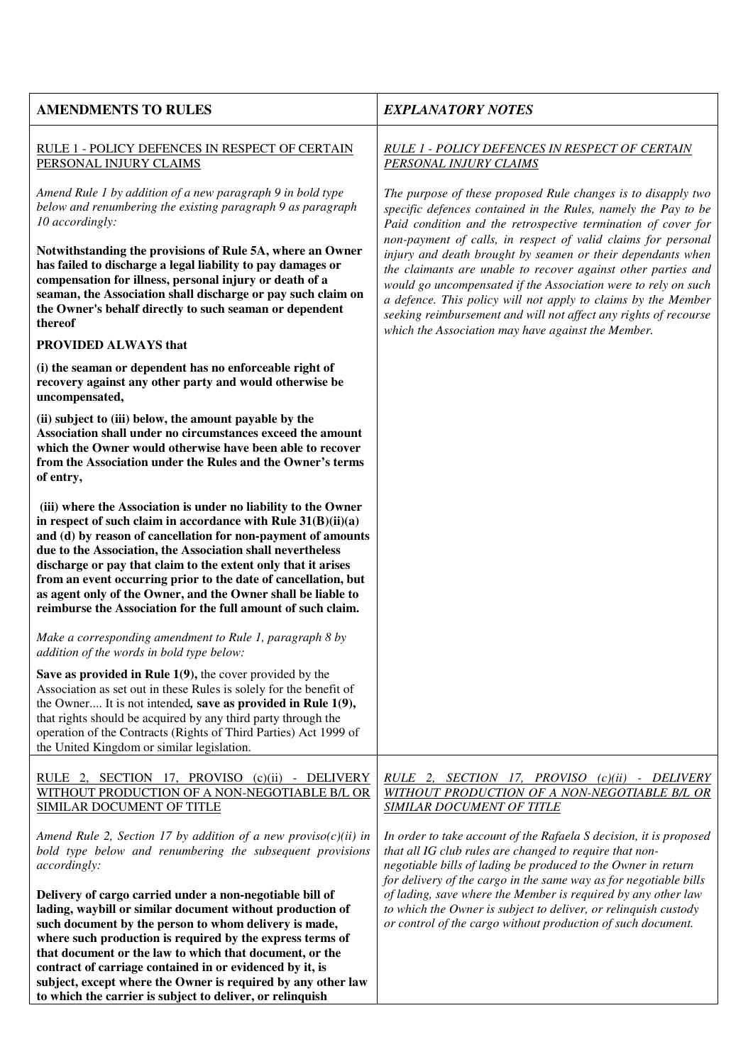| <b>AMENDMENTS TO RULES</b>                                                                                                                                                                                                                                                                                                                                                                                                                                                                                                         | <b>EXPLANATORY NOTES</b>                                                                                                                                                                                                                                                                                                                                                                                                                                   |
|------------------------------------------------------------------------------------------------------------------------------------------------------------------------------------------------------------------------------------------------------------------------------------------------------------------------------------------------------------------------------------------------------------------------------------------------------------------------------------------------------------------------------------|------------------------------------------------------------------------------------------------------------------------------------------------------------------------------------------------------------------------------------------------------------------------------------------------------------------------------------------------------------------------------------------------------------------------------------------------------------|
| RULE 1 - POLICY DEFENCES IN RESPECT OF CERTAIN<br>PERSONAL INJURY CLAIMS                                                                                                                                                                                                                                                                                                                                                                                                                                                           | <b>RULE 1 - POLICY DEFENCES IN RESPECT OF CERTAIN</b><br>PERSONAL INJURY CLAIMS                                                                                                                                                                                                                                                                                                                                                                            |
| Amend Rule 1 by addition of a new paragraph 9 in bold type<br>below and renumbering the existing paragraph 9 as paragraph<br>10 accordingly:                                                                                                                                                                                                                                                                                                                                                                                       | The purpose of these proposed Rule changes is to disapply two<br>specific defences contained in the Rules, namely the Pay to be<br>Paid condition and the retrospective termination of cover for                                                                                                                                                                                                                                                           |
| Notwithstanding the provisions of Rule 5A, where an Owner<br>has failed to discharge a legal liability to pay damages or<br>compensation for illness, personal injury or death of a<br>seaman, the Association shall discharge or pay such claim on<br>the Owner's behalf directly to such seaman or dependent<br>thereof                                                                                                                                                                                                          | non-payment of calls, in respect of valid claims for personal<br>injury and death brought by seamen or their dependants when<br>the claimants are unable to recover against other parties and<br>would go uncompensated if the Association were to rely on such<br>a defence. This policy will not apply to claims by the Member<br>seeking reimbursement and will not affect any rights of recourse<br>which the Association may have against the Member. |
| <b>PROVIDED ALWAYS that</b>                                                                                                                                                                                                                                                                                                                                                                                                                                                                                                        |                                                                                                                                                                                                                                                                                                                                                                                                                                                            |
| (i) the seaman or dependent has no enforceable right of<br>recovery against any other party and would otherwise be<br>uncompensated,                                                                                                                                                                                                                                                                                                                                                                                               |                                                                                                                                                                                                                                                                                                                                                                                                                                                            |
| (ii) subject to (iii) below, the amount payable by the<br>Association shall under no circumstances exceed the amount<br>which the Owner would otherwise have been able to recover<br>from the Association under the Rules and the Owner's terms<br>of entry,                                                                                                                                                                                                                                                                       |                                                                                                                                                                                                                                                                                                                                                                                                                                                            |
| (iii) where the Association is under no liability to the Owner<br>in respect of such claim in accordance with Rule $31(B)(ii)(a)$<br>and (d) by reason of cancellation for non-payment of amounts<br>due to the Association, the Association shall nevertheless<br>discharge or pay that claim to the extent only that it arises<br>from an event occurring prior to the date of cancellation, but<br>as agent only of the Owner, and the Owner shall be liable to<br>reimburse the Association for the full amount of such claim. |                                                                                                                                                                                                                                                                                                                                                                                                                                                            |
| Make a corresponding amendment to Rule 1, paragraph 8 by<br>addition of the words in bold type below:                                                                                                                                                                                                                                                                                                                                                                                                                              |                                                                                                                                                                                                                                                                                                                                                                                                                                                            |
| Save as provided in Rule $1(9)$ , the cover provided by the<br>Association as set out in these Rules is solely for the benefit of<br>the Owner It is not intended, save as provided in Rule 1(9),<br>that rights should be acquired by any third party through the<br>operation of the Contracts (Rights of Third Parties) Act 1999 of<br>the United Kingdom or similar legislation.                                                                                                                                               |                                                                                                                                                                                                                                                                                                                                                                                                                                                            |
| RULE 2, SECTION 17, PROVISO (c)(ii) - DELIVERY<br>WITHOUT PRODUCTION OF A NON-NEGOTIABLE B/L OR<br>SIMILAR DOCUMENT OF TITLE                                                                                                                                                                                                                                                                                                                                                                                                       | RULE 2, SECTION 17, PROVISO (c)(ii) - DELIVERY<br>WITHOUT PRODUCTION OF A NON-NEGOTIABLE B/L OR<br><b>SIMILAR DOCUMENT OF TITLE</b>                                                                                                                                                                                                                                                                                                                        |
| Amend Rule 2, Section 17 by addition of a new proviso(c)(ii) in<br>bold type below and renumbering the subsequent provisions<br>accordingly:                                                                                                                                                                                                                                                                                                                                                                                       | In order to take account of the Rafaela S decision, it is proposed<br>that all IG club rules are changed to require that non-<br>negotiable bills of lading be produced to the Owner in return                                                                                                                                                                                                                                                             |
| Delivery of cargo carried under a non-negotiable bill of<br>lading, waybill or similar document without production of<br>such document by the person to whom delivery is made,<br>where such production is required by the express terms of<br>that document or the law to which that document, or the<br>contract of carriage contained in or evidenced by it, is<br>subject, except where the Owner is required by any other law                                                                                                 | for delivery of the cargo in the same way as for negotiable bills<br>of lading, save where the Member is required by any other law<br>to which the Owner is subject to deliver, or relinquish custody<br>or control of the cargo without production of such document.                                                                                                                                                                                      |
| to which the carrier is subject to deliver, or relinquish                                                                                                                                                                                                                                                                                                                                                                                                                                                                          |                                                                                                                                                                                                                                                                                                                                                                                                                                                            |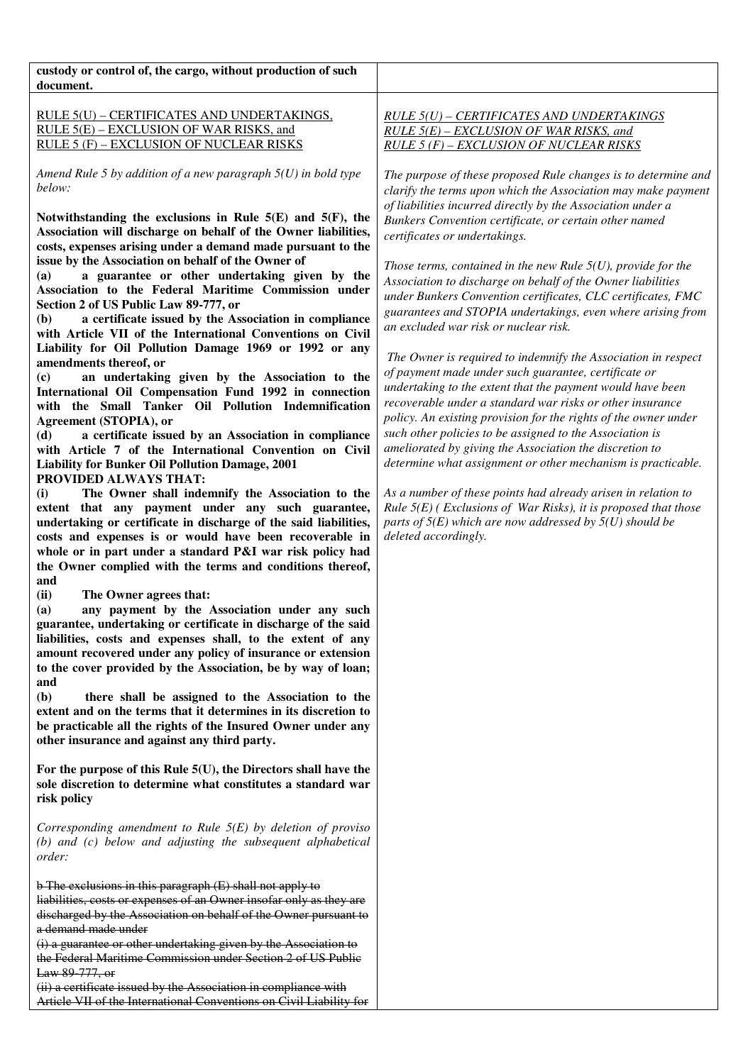| custody or control of, the cargo, without production of such<br>document.                                                                                                                                                                                                                                                                                                                                                                                                                                                                                                                                                                                                                                                                                                                                                                                                                                                                                                                                                                 |                                                                                                                                                                                                                                                                                                                                                                                                                                                                                                                                                                                                                                                                                                                                                                                                                                                                                                                                                                                                                          |
|-------------------------------------------------------------------------------------------------------------------------------------------------------------------------------------------------------------------------------------------------------------------------------------------------------------------------------------------------------------------------------------------------------------------------------------------------------------------------------------------------------------------------------------------------------------------------------------------------------------------------------------------------------------------------------------------------------------------------------------------------------------------------------------------------------------------------------------------------------------------------------------------------------------------------------------------------------------------------------------------------------------------------------------------|--------------------------------------------------------------------------------------------------------------------------------------------------------------------------------------------------------------------------------------------------------------------------------------------------------------------------------------------------------------------------------------------------------------------------------------------------------------------------------------------------------------------------------------------------------------------------------------------------------------------------------------------------------------------------------------------------------------------------------------------------------------------------------------------------------------------------------------------------------------------------------------------------------------------------------------------------------------------------------------------------------------------------|
| RULE 5(U) - CERTIFICATES AND UNDERTAKINGS,<br>RULE 5(E) – EXCLUSION OF WAR RISKS, and<br>RULE 5 (F) - EXCLUSION OF NUCLEAR RISKS                                                                                                                                                                                                                                                                                                                                                                                                                                                                                                                                                                                                                                                                                                                                                                                                                                                                                                          | RULE 5(U) - CERTIFICATES AND UNDERTAKINGS<br>$RULE 5(E) - EXCLUSION OF WAR RISKS, and$<br>RULE 5 (F) - EXCLUSION OF NUCLEAR RISKS                                                                                                                                                                                                                                                                                                                                                                                                                                                                                                                                                                                                                                                                                                                                                                                                                                                                                        |
| Amend Rule 5 by addition of a new paragraph $5(U)$ in bold type<br>below:                                                                                                                                                                                                                                                                                                                                                                                                                                                                                                                                                                                                                                                                                                                                                                                                                                                                                                                                                                 | The purpose of these proposed Rule changes is to determine and<br>clarify the terms upon which the Association may make payment                                                                                                                                                                                                                                                                                                                                                                                                                                                                                                                                                                                                                                                                                                                                                                                                                                                                                          |
| Notwithstanding the exclusions in Rule $5(E)$ and $5(F)$ , the<br>Association will discharge on behalf of the Owner liabilities,<br>costs, expenses arising under a demand made pursuant to the                                                                                                                                                                                                                                                                                                                                                                                                                                                                                                                                                                                                                                                                                                                                                                                                                                           | of liabilities incurred directly by the Association under a<br>Bunkers Convention certificate, or certain other named<br>certificates or undertakings.                                                                                                                                                                                                                                                                                                                                                                                                                                                                                                                                                                                                                                                                                                                                                                                                                                                                   |
| issue by the Association on behalf of the Owner of<br>a guarantee or other undertaking given by the<br><b>(a)</b><br>Association to the Federal Maritime Commission under<br>Section 2 of US Public Law 89-777, or<br>a certificate issued by the Association in compliance<br>(b)<br>with Article VII of the International Conventions on Civil<br>Liability for Oil Pollution Damage 1969 or 1992 or any<br>amendments thereof, or<br>an undertaking given by the Association to the<br>(c)<br>International Oil Compensation Fund 1992 in connection<br>with the Small Tanker Oil Pollution Indemnification<br>Agreement (STOPIA), or<br>a certificate issued by an Association in compliance<br>(d)<br>with Article 7 of the International Convention on Civil<br><b>Liability for Bunker Oil Pollution Damage, 2001</b><br>PROVIDED ALWAYS THAT:<br>The Owner shall indemnify the Association to the<br>(i)<br>extent that any payment under any such guarantee,<br>undertaking or certificate in discharge of the said liabilities, | Those terms, contained in the new Rule $5(U)$ , provide for the<br>Association to discharge on behalf of the Owner liabilities<br>under Bunkers Convention certificates, CLC certificates, FMC<br>guarantees and STOPIA undertakings, even where arising from<br>an excluded war risk or nuclear risk.<br>The Owner is required to indemnify the Association in respect<br>of payment made under such guarantee, certificate or<br>undertaking to the extent that the payment would have been<br>recoverable under a standard war risks or other insurance<br>policy. An existing provision for the rights of the owner under<br>such other policies to be assigned to the Association is<br>ameliorated by giving the Association the discretion to<br>determine what assignment or other mechanism is practicable.<br>As a number of these points had already arisen in relation to<br>Rule $5(E)$ (Exclusions of War Risks), it is proposed that those<br>parts of $5(E)$ which are now addressed by $5(U)$ should be |
| costs and expenses is or would have been recoverable in<br>whole or in part under a standard P&I war risk policy had<br>the Owner complied with the terms and conditions thereof,<br>and                                                                                                                                                                                                                                                                                                                                                                                                                                                                                                                                                                                                                                                                                                                                                                                                                                                  | deleted accordingly.                                                                                                                                                                                                                                                                                                                                                                                                                                                                                                                                                                                                                                                                                                                                                                                                                                                                                                                                                                                                     |
| The Owner agrees that:<br>(ii)<br>any payment by the Association under any such<br>(a)<br>guarantee, undertaking or certificate in discharge of the said<br>liabilities, costs and expenses shall, to the extent of any<br>amount recovered under any policy of insurance or extension<br>to the cover provided by the Association, be by way of loan;<br>and                                                                                                                                                                                                                                                                                                                                                                                                                                                                                                                                                                                                                                                                             |                                                                                                                                                                                                                                                                                                                                                                                                                                                                                                                                                                                                                                                                                                                                                                                                                                                                                                                                                                                                                          |
| ( <b>b</b> )<br>there shall be assigned to the Association to the<br>extent and on the terms that it determines in its discretion to<br>be practicable all the rights of the Insured Owner under any<br>other insurance and against any third party.                                                                                                                                                                                                                                                                                                                                                                                                                                                                                                                                                                                                                                                                                                                                                                                      |                                                                                                                                                                                                                                                                                                                                                                                                                                                                                                                                                                                                                                                                                                                                                                                                                                                                                                                                                                                                                          |
| For the purpose of this Rule $5(U)$ , the Directors shall have the<br>sole discretion to determine what constitutes a standard war<br>risk policy                                                                                                                                                                                                                                                                                                                                                                                                                                                                                                                                                                                                                                                                                                                                                                                                                                                                                         |                                                                                                                                                                                                                                                                                                                                                                                                                                                                                                                                                                                                                                                                                                                                                                                                                                                                                                                                                                                                                          |
| Corresponding amendment to Rule $5(E)$ by deletion of proviso<br>(b) and (c) below and adjusting the subsequent alphabetical<br>order:                                                                                                                                                                                                                                                                                                                                                                                                                                                                                                                                                                                                                                                                                                                                                                                                                                                                                                    |                                                                                                                                                                                                                                                                                                                                                                                                                                                                                                                                                                                                                                                                                                                                                                                                                                                                                                                                                                                                                          |
| b The exclusions in this paragraph (E) shall not apply to<br>liabilities, costs or expenses of an Owner insofar only as they are<br>discharged by the Association on behalf of the Owner pursuant to<br>a demand made under                                                                                                                                                                                                                                                                                                                                                                                                                                                                                                                                                                                                                                                                                                                                                                                                               |                                                                                                                                                                                                                                                                                                                                                                                                                                                                                                                                                                                                                                                                                                                                                                                                                                                                                                                                                                                                                          |
| (i) a guarantee or other undertaking given by the Association to<br>the Federal Maritime Commission under Section 2 of US Public<br>Law 89 777, or                                                                                                                                                                                                                                                                                                                                                                                                                                                                                                                                                                                                                                                                                                                                                                                                                                                                                        |                                                                                                                                                                                                                                                                                                                                                                                                                                                                                                                                                                                                                                                                                                                                                                                                                                                                                                                                                                                                                          |
| (ii) a certificate issued by the Association in compliance with<br>Article VII of the International Conventions on Civil Liability for                                                                                                                                                                                                                                                                                                                                                                                                                                                                                                                                                                                                                                                                                                                                                                                                                                                                                                    |                                                                                                                                                                                                                                                                                                                                                                                                                                                                                                                                                                                                                                                                                                                                                                                                                                                                                                                                                                                                                          |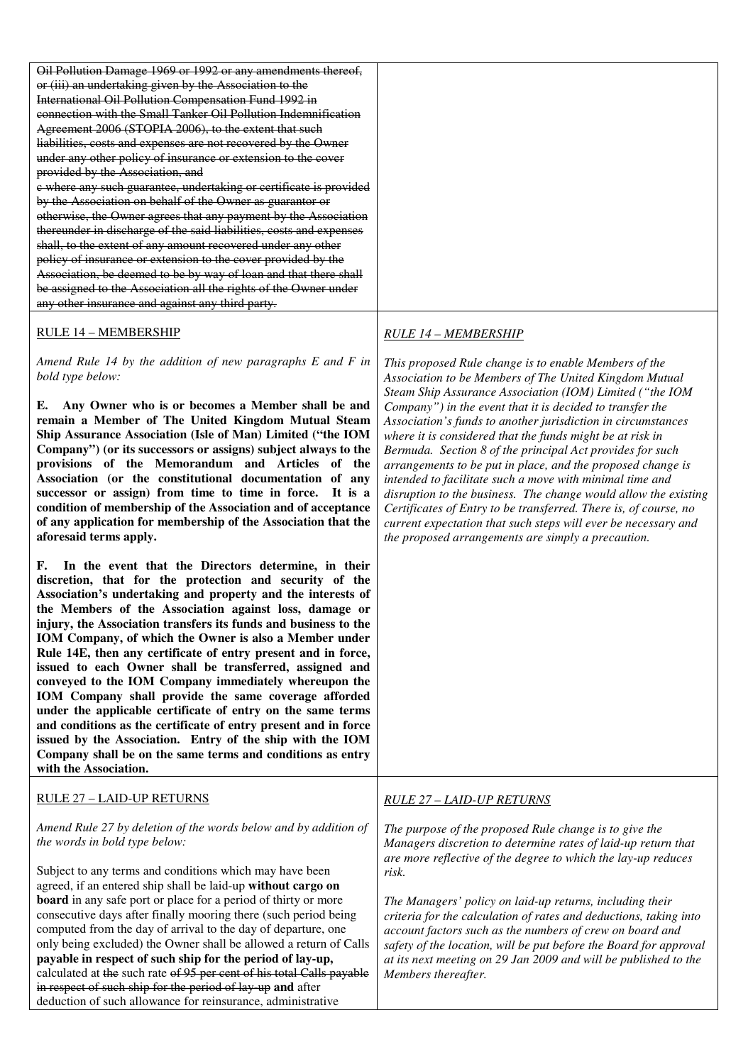| Oil Pollution Damage 1969 or 1992 or any amendments thereof,<br>or (iii) an undertaking given by the Association to the<br>International Oil Pollution Compensation Fund 1992 in<br>connection with the Small Tanker Oil Pollution Indemnification                                                                                                                                                                                                                                                                                                                                                                                                                                                                                                                                                                                                                                                            |                                                                                                                                                                                                                                                                                                                                                                                                                                                                                                                                                                                                                                               |
|---------------------------------------------------------------------------------------------------------------------------------------------------------------------------------------------------------------------------------------------------------------------------------------------------------------------------------------------------------------------------------------------------------------------------------------------------------------------------------------------------------------------------------------------------------------------------------------------------------------------------------------------------------------------------------------------------------------------------------------------------------------------------------------------------------------------------------------------------------------------------------------------------------------|-----------------------------------------------------------------------------------------------------------------------------------------------------------------------------------------------------------------------------------------------------------------------------------------------------------------------------------------------------------------------------------------------------------------------------------------------------------------------------------------------------------------------------------------------------------------------------------------------------------------------------------------------|
| Agreement 2006 (STOPIA 2006), to the extent that such<br>liabilities, costs and expenses are not recovered by the Owner<br>under any other policy of insurance or extension to the cover<br>provided by the Association, and                                                                                                                                                                                                                                                                                                                                                                                                                                                                                                                                                                                                                                                                                  |                                                                                                                                                                                                                                                                                                                                                                                                                                                                                                                                                                                                                                               |
| e where any such guarantee, undertaking or certificate is provided<br>by the Association on behalf of the Owner as guarantor or<br>otherwise, the Owner agrees that any payment by the Association                                                                                                                                                                                                                                                                                                                                                                                                                                                                                                                                                                                                                                                                                                            |                                                                                                                                                                                                                                                                                                                                                                                                                                                                                                                                                                                                                                               |
| thereunder in discharge of the said liabilities, costs and expenses<br>shall, to the extent of any amount recovered under any other<br>policy of insurance or extension to the cover provided by the<br>Association, be deemed to be by way of loan and that there shall                                                                                                                                                                                                                                                                                                                                                                                                                                                                                                                                                                                                                                      |                                                                                                                                                                                                                                                                                                                                                                                                                                                                                                                                                                                                                                               |
| be assigned to the Association all the rights of the Owner under<br>any other insurance and against any third party.                                                                                                                                                                                                                                                                                                                                                                                                                                                                                                                                                                                                                                                                                                                                                                                          |                                                                                                                                                                                                                                                                                                                                                                                                                                                                                                                                                                                                                                               |
| <b>RULE 14 - MEMBERSHIP</b>                                                                                                                                                                                                                                                                                                                                                                                                                                                                                                                                                                                                                                                                                                                                                                                                                                                                                   | <b>RULE 14 - MEMBERSHIP</b>                                                                                                                                                                                                                                                                                                                                                                                                                                                                                                                                                                                                                   |
| Amend Rule 14 by the addition of new paragraphs $E$ and $F$ in<br>bold type below:                                                                                                                                                                                                                                                                                                                                                                                                                                                                                                                                                                                                                                                                                                                                                                                                                            | This proposed Rule change is to enable Members of the<br>Association to be Members of The United Kingdom Mutual<br>Steam Ship Assurance Association (IOM) Limited ("the IOM                                                                                                                                                                                                                                                                                                                                                                                                                                                                   |
| Any Owner who is or becomes a Member shall be and<br>Е.<br>remain a Member of The United Kingdom Mutual Steam<br>Ship Assurance Association (Isle of Man) Limited ("the IOM<br>Company") (or its successors or assigns) subject always to the<br>provisions of the Memorandum and Articles of the<br>Association (or the constitutional documentation of any<br>successor or assign) from time to time in force. It is a<br>condition of membership of the Association and of acceptance<br>of any application for membership of the Association that the<br>aforesaid terms apply.                                                                                                                                                                                                                                                                                                                           | Company") in the event that it is decided to transfer the<br>Association's funds to another jurisdiction in circumstances<br>where it is considered that the funds might be at risk in<br>Bermuda. Section 8 of the principal Act provides for such<br>arrangements to be put in place, and the proposed change is<br>intended to facilitate such a move with minimal time and<br>disruption to the business. The change would allow the existing<br>Certificates of Entry to be transferred. There is, of course, no<br>current expectation that such steps will ever be necessary and<br>the proposed arrangements are simply a precaution. |
| In the event that the Directors determine, in their<br>F.<br>discretion, that for the protection and security of the<br>Association's undertaking and property and the interests of<br>the Members of the Association against loss, damage or<br>injury, the Association transfers its funds and business to the<br>IOM Company, of which the Owner is also a Member under<br>Rule 14E, then any certificate of entry present and in force,<br>issued to each Owner shall be transferred, assigned and<br>conveyed to the IOM Company immediately whereupon the<br>IOM Company shall provide the same coverage afforded<br>under the applicable certificate of entry on the same terms<br>and conditions as the certificate of entry present and in force<br>issued by the Association. Entry of the ship with the IOM<br>Company shall be on the same terms and conditions as entry<br>with the Association. |                                                                                                                                                                                                                                                                                                                                                                                                                                                                                                                                                                                                                                               |
| <b>RULE 27 - LAID-UP RETURNS</b>                                                                                                                                                                                                                                                                                                                                                                                                                                                                                                                                                                                                                                                                                                                                                                                                                                                                              | <b>RULE 27 - LAID-UP RETURNS</b>                                                                                                                                                                                                                                                                                                                                                                                                                                                                                                                                                                                                              |
| Amend Rule 27 by deletion of the words below and by addition of<br>the words in bold type below:                                                                                                                                                                                                                                                                                                                                                                                                                                                                                                                                                                                                                                                                                                                                                                                                              | The purpose of the proposed Rule change is to give the<br>Managers discretion to determine rates of laid-up return that<br>are more reflective of the degree to which the lay-up reduces                                                                                                                                                                                                                                                                                                                                                                                                                                                      |
| Subject to any terms and conditions which may have been<br>agreed, if an entered ship shall be laid-up without cargo on                                                                                                                                                                                                                                                                                                                                                                                                                                                                                                                                                                                                                                                                                                                                                                                       | risk.                                                                                                                                                                                                                                                                                                                                                                                                                                                                                                                                                                                                                                         |
| <b>board</b> in any safe port or place for a period of thirty or more<br>consecutive days after finally mooring there (such period being<br>computed from the day of arrival to the day of departure, one                                                                                                                                                                                                                                                                                                                                                                                                                                                                                                                                                                                                                                                                                                     | The Managers' policy on laid-up returns, including their<br>criteria for the calculation of rates and deductions, taking into<br>account factors such as the numbers of crew on board and                                                                                                                                                                                                                                                                                                                                                                                                                                                     |
| only being excluded) the Owner shall be allowed a return of Calls<br>payable in respect of such ship for the period of lay-up,<br>calculated at the such rate of 95 per cent of his total Calls payable<br>in respect of such ship for the period of lay up and after                                                                                                                                                                                                                                                                                                                                                                                                                                                                                                                                                                                                                                         | safety of the location, will be put before the Board for approval<br>at its next meeting on 29 Jan 2009 and will be published to the<br>Members thereafter.                                                                                                                                                                                                                                                                                                                                                                                                                                                                                   |
| deduction of such allowance for reinsurance, administrative                                                                                                                                                                                                                                                                                                                                                                                                                                                                                                                                                                                                                                                                                                                                                                                                                                                   |                                                                                                                                                                                                                                                                                                                                                                                                                                                                                                                                                                                                                                               |